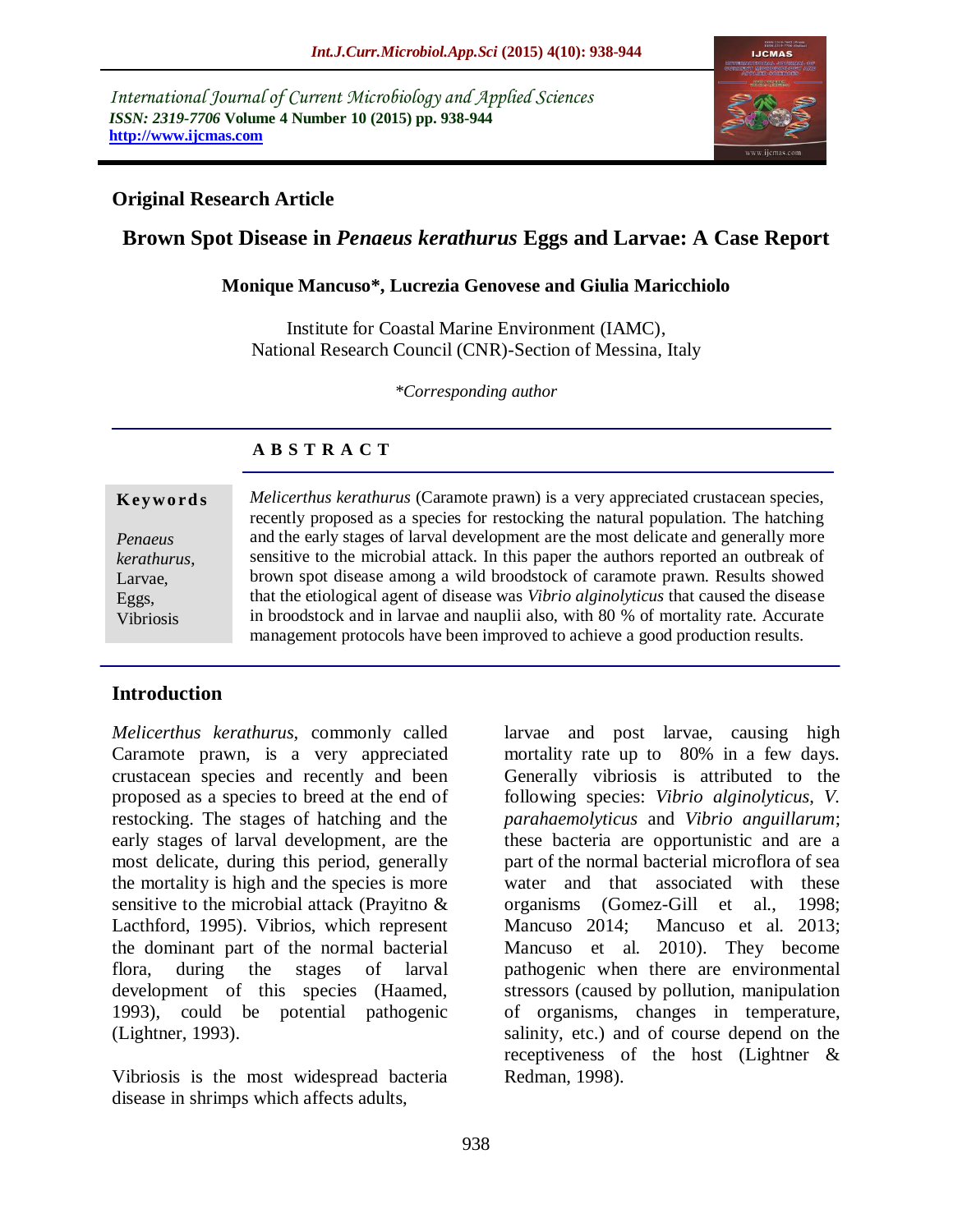*International Journal of Current Microbiology and Applied Sciences ISSN: 2319-7706* **Volume 4 Number 10 (2015) pp. 938-944 http://www.ijcmas.com** 



### **Original Research Article**

# **Brown Spot Disease in** *Penaeus kerathurus* **Eggs and Larvae: A Case Report**

#### **Monique Mancuso\*, Lucrezia Genovese and Giulia Maricchiolo**

Institute for Coastal Marine Environment (IAMC), National Research Council (CNR)-Section of Messina, Italy

*\*Corresponding author*

## **A B S T R A C T**

#### **K ey w o rd s**

*Penaeus kerathurus*, Larvae, Eggs, Vibriosis

*Melicerthus kerathurus* (Caramote prawn) is a very appreciated crustacean species, recently proposed as a species for restocking the natural population. The hatching and the early stages of larval development are the most delicate and generally more sensitive to the microbial attack. In this paper the authors reported an outbreak of brown spot disease among a wild broodstock of caramote prawn. Results showed that the etiological agent of disease was *Vibrio alginolyticus* that caused the disease in broodstock and in larvae and nauplii also, with 80 % of mortality rate. Accurate management protocols have been improved to achieve a good production results.

## **Introduction**

*Melicerthus kerathurus,* commonly called Caramote prawn, is a very appreciated crustacean species and recently and been proposed as a species to breed at the end of restocking. The stages of hatching and the early stages of larval development, are the most delicate, during this period, generally the mortality is high and the species is more sensitive to the microbial attack (Prayitno & Lacthford, 1995). Vibrios, which represent the dominant part of the normal bacterial flora, during the stages of larval development of this species (Haamed, 1993), could be potential pathogenic (Lightner, 1993).

Vibriosis is the most widespread bacteria disease in shrimps which affects adults,

larvae and post larvae, causing high mortality rate up to 80% in a few days. Generally vibriosis is attributed to the following species: *Vibrio alginolyticus*, *V. parahaemolyticus* and *Vibrio anguillarum*; these bacteria are opportunistic and are a part of the normal bacterial microflora of sea water and that associated with these organisms (Gomez-Gill et al., 1998; Mancuso 2014; Mancuso et al. 2013; Mancuso et al. 2010). They become pathogenic when there are environmental stressors (caused by pollution, manipulation of organisms, changes in temperature, salinity, etc.) and of course depend on the receptiveness of the host (Lightner & Redman, 1998).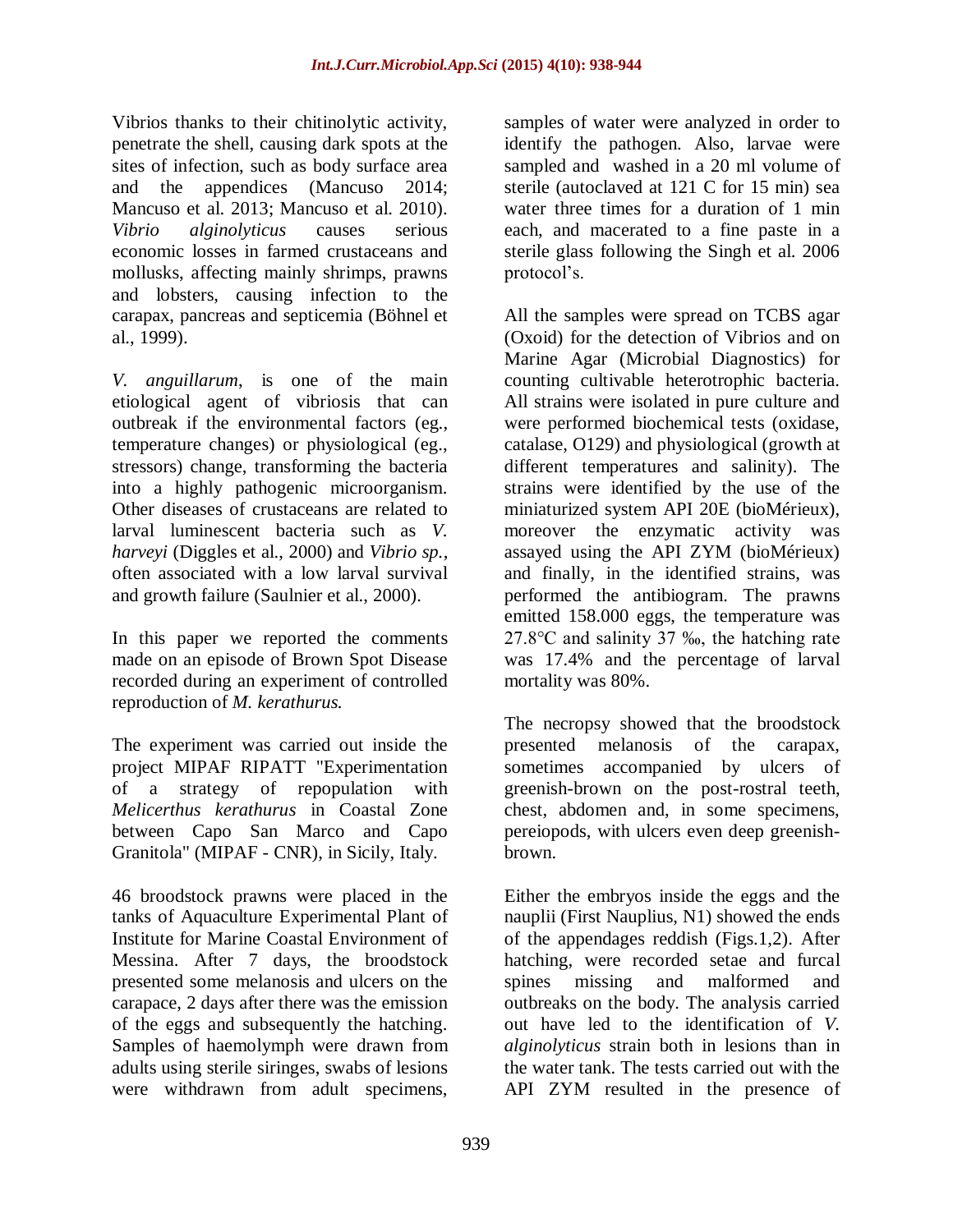Vibrios thanks to their chitinolytic activity, penetrate the shell, causing dark spots at the sites of infection, such as body surface area and the appendices (Mancuso 2014; Mancuso et al. 2013; Mancuso et al. 2010). *Vibrio alginolyticus* causes serious economic losses in farmed crustaceans and mollusks, affecting mainly shrimps, prawns and lobsters, causing infection to the carapax, pancreas and septicemia (Böhnel et al., 1999).

*V. anguillarum*, is one of the main etiological agent of vibriosis that can outbreak if the environmental factors (eg., temperature changes) or physiological (eg., stressors) change, transforming the bacteria into a highly pathogenic microorganism. Other diseases of crustaceans are related to larval luminescent bacteria such as *V. harveyi* (Diggles et al., 2000) and *Vibrio sp.*, often associated with a low larval survival and growth failure (Saulnier et al., 2000).

In this paper we reported the comments made on an episode of Brown Spot Disease recorded during an experiment of controlled reproduction of *M. kerathurus.*

The experiment was carried out inside the project MIPAF RIPATT "Experimentation of a strategy of repopulation with *Melicerthus kerathurus* in Coastal Zone between Capo San Marco and Capo Granitola" (MIPAF - CNR), in Sicily, Italy.

46 broodstock prawns were placed in the tanks of Aquaculture Experimental Plant of Institute for Marine Coastal Environment of Messina. After 7 days, the broodstock presented some melanosis and ulcers on the carapace, 2 days after there was the emission of the eggs and subsequently the hatching. Samples of haemolymph were drawn from adults using sterile siringes, swabs of lesions were withdrawn from adult specimens,

samples of water were analyzed in order to identify the pathogen. Also, larvae were sampled and washed in a 20 ml volume of sterile (autoclaved at 121 C for 15 min) sea water three times for a duration of 1 min each, and macerated to a fine paste in a sterile glass following the Singh et al. 2006 protocol"s.

All the samples were spread on TCBS agar (Oxoid) for the detection of Vibrios and on Marine Agar (Microbial Diagnostics) for counting cultivable heterotrophic bacteria. All strains were isolated in pure culture and were performed biochemical tests (oxidase, catalase, O129) and physiological (growth at different temperatures and salinity). The strains were identified by the use of the miniaturized system API 20E (bioMérieux), moreover the enzymatic activity was assayed using the API ZYM (bioMérieux) and finally, in the identified strains, was performed the antibiogram. The prawns emitted 158.000 eggs, the temperature was 27.8°C and salinity 37 ‰, the hatching rate was 17.4% and the percentage of larval mortality was 80%.

The necropsy showed that the broodstock presented melanosis of the carapax, sometimes accompanied by ulcers of greenish-brown on the post-rostral teeth, chest, abdomen and, in some specimens, pereiopods, with ulcers even deep greenishbrown.

Either the embryos inside the eggs and the nauplii (First Nauplius, N1) showed the ends of the appendages reddish (Figs.1,2). After hatching, were recorded setae and furcal spines missing and malformed and outbreaks on the body. The analysis carried out have led to the identification of *V. alginolyticus* strain both in lesions than in the water tank. The tests carried out with the API ZYM resulted in the presence of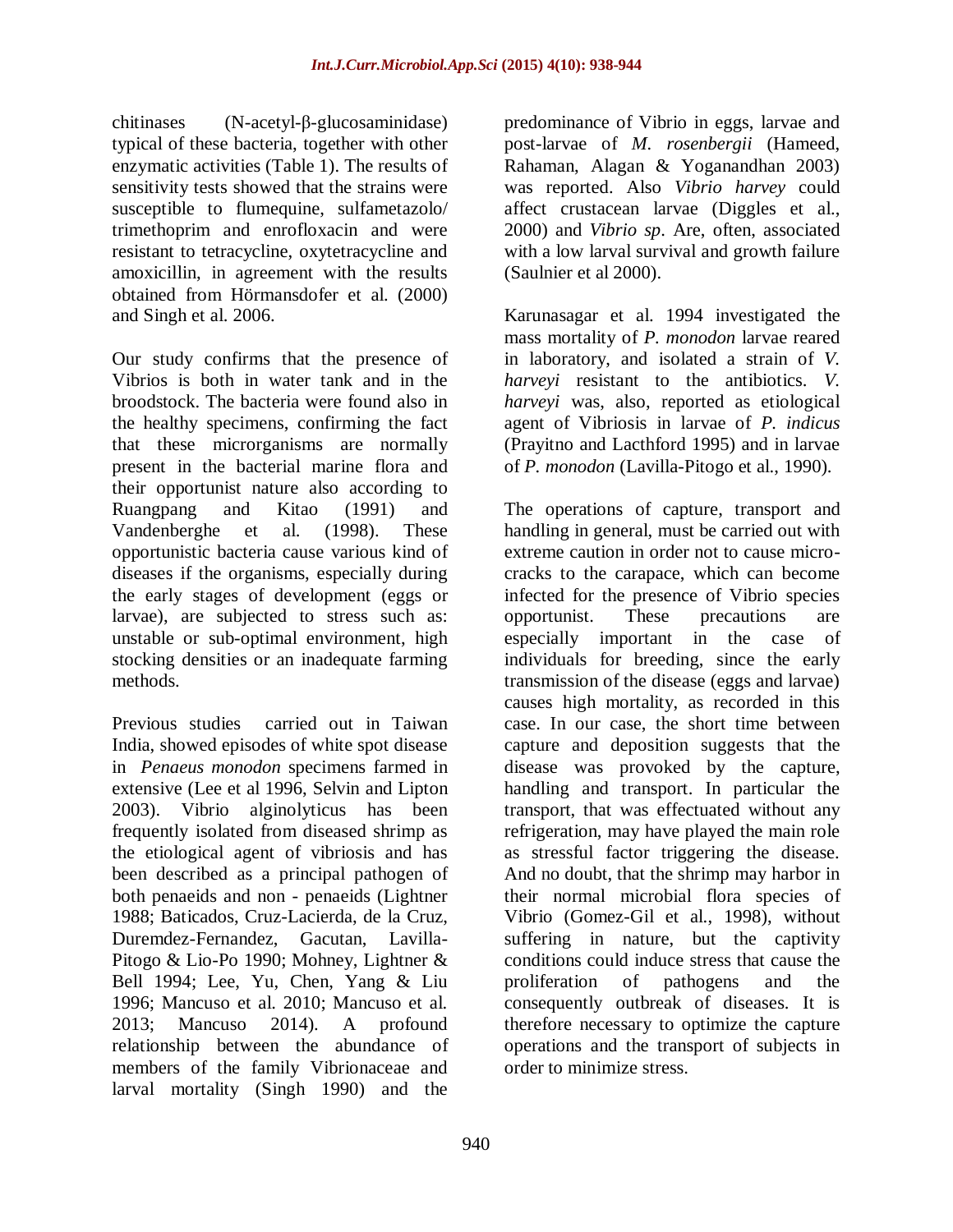chitinases (N-acetyl-β-glucosaminidase) typical of these bacteria, together with other enzymatic activities (Table 1). The results of sensitivity tests showed that the strains were susceptible to flumequine, sulfametazolo/ trimethoprim and enrofloxacin and were resistant to tetracycline, oxytetracycline and amoxicillin, in agreement with the results obtained from Hörmansdofer et al. (2000) and Singh et al. 2006.

Our study confirms that the presence of Vibrios is both in water tank and in the broodstock. The bacteria were found also in the healthy specimens, confirming the fact that these microrganisms are normally present in the bacterial marine flora and their opportunist nature also according to Ruangpang and Kitao (1991) and Vandenberghe et al. (1998). These opportunistic bacteria cause various kind of diseases if the organisms, especially during the early stages of development (eggs or larvae), are subjected to stress such as: unstable or sub-optimal environment, high stocking densities or an inadequate farming methods.

Previous studies carried out in Taiwan India, showed episodes of white spot disease in *Penaeus monodon* specimens farmed in extensive (Lee et al 1996, Selvin and Lipton 2003). Vibrio alginolyticus has been frequently isolated from diseased shrimp as the etiological agent of vibriosis and has been described as a principal pathogen of both penaeids and non - penaeids (Lightner 1988; Baticados, Cruz-Lacierda, de la Cruz, Duremdez-Fernandez, Gacutan, Lavilla-Pitogo & Lio-Po 1990; Mohney, Lightner & Bell 1994; Lee, Yu, Chen, Yang & Liu 1996; Mancuso et al. 2010; Mancuso et al. 2013; Mancuso 2014). A profound relationship between the abundance of members of the family Vibrionaceae and larval mortality (Singh 1990) and the

predominance of Vibrio in eggs, larvae and post-larvae of *M. rosenbergii* (Hameed, Rahaman, Alagan & Yoganandhan 2003) was reported. Also *Vibrio harvey* could affect crustacean larvae (Diggles et al., 2000) and *Vibrio sp*. Are, often, associated with a low larval survival and growth failure (Saulnier et al 2000).

Karunasagar et al. 1994 investigated the mass mortality of *P. monodon* larvae reared in laboratory, and isolated a strain of *V. harveyi* resistant to the antibiotics. *V. harveyi* was, also, reported as etiological agent of Vibriosis in larvae of *P. indicus* (Prayitno and Lacthford 1995) and in larvae of *P. monodon* (Lavilla-Pitogo et al., 1990).

The operations of capture, transport and handling in general, must be carried out with extreme caution in order not to cause microcracks to the carapace, which can become infected for the presence of Vibrio species opportunist. These precautions are especially important in the case of individuals for breeding, since the early transmission of the disease (eggs and larvae) causes high mortality, as recorded in this case. In our case, the short time between capture and deposition suggests that the disease was provoked by the capture, handling and transport. In particular the transport, that was effectuated without any refrigeration, may have played the main role as stressful factor triggering the disease. And no doubt, that the shrimp may harbor in their normal microbial flora species of Vibrio (Gomez-Gil et al., 1998), without suffering in nature, but the captivity conditions could induce stress that cause the proliferation of pathogens and the consequently outbreak of diseases. It is therefore necessary to optimize the capture operations and the transport of subjects in order to minimize stress.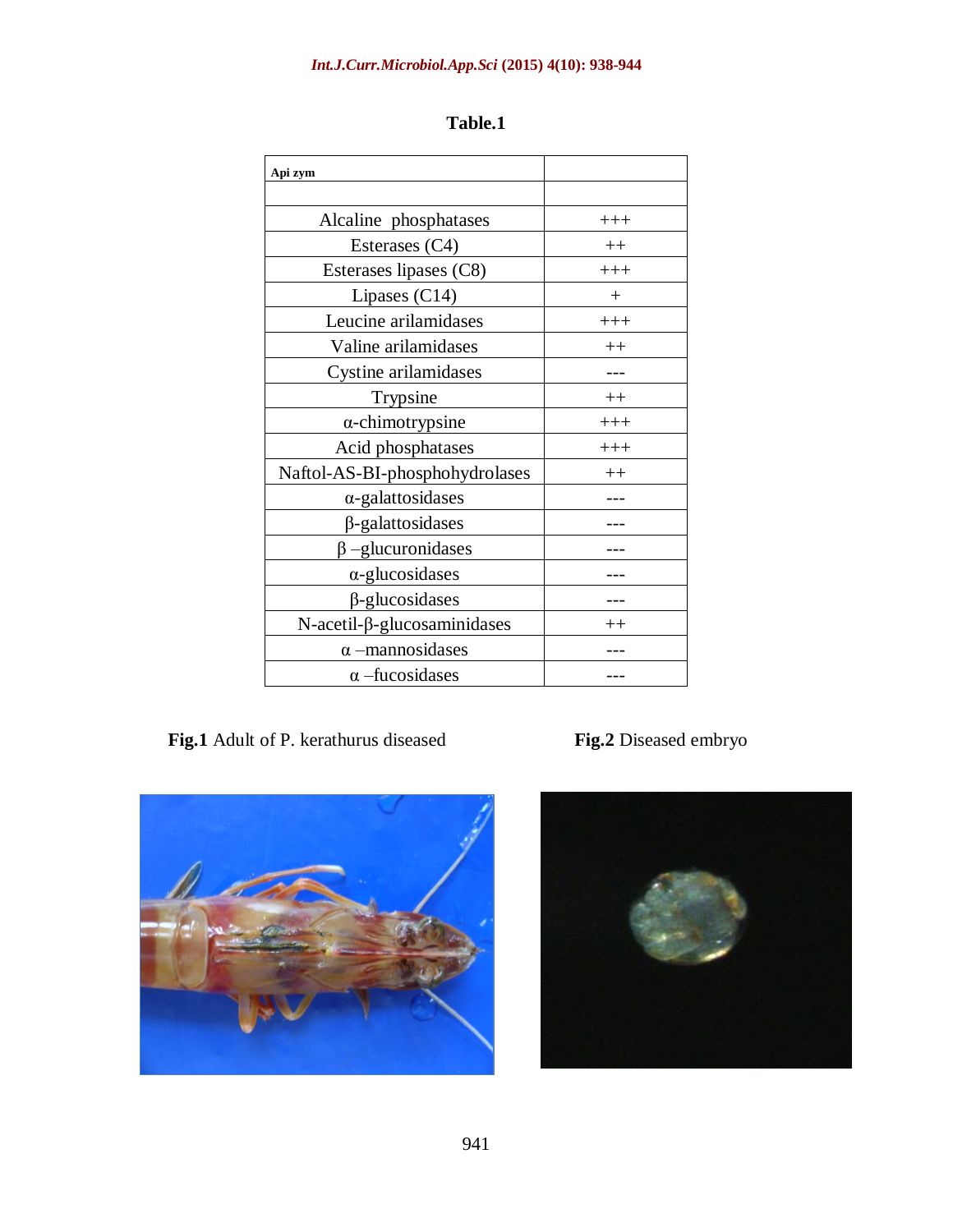| Api zym                                |         |
|----------------------------------------|---------|
| Alcaline phosphatases                  | $+++$   |
| Esterases (C4)                         | $^{++}$ |
| Esterases lipases (C8)                 | $+++$   |
| Lipases $(C14)$                        | $^{+}$  |
| Leucine arilamidases                   | $+++$   |
| Valine arilamidases                    | $^{++}$ |
| Cystine arilamidases                   |         |
| Trypsine                               | $++$    |
| $\alpha$ -chimotrypsine                | $+++$   |
| Acid phosphatases                      | $+++$   |
| Naftol-AS-BI-phosphohydrolases         | $++$    |
| $\alpha$ -galattosidases               |         |
| $\beta$ -galattosidases                |         |
| $\beta$ -glucuronidases                |         |
| $\alpha$ -glucosidases                 |         |
| $\beta$ -glucosidases                  |         |
| $N$ -acetil- $\beta$ -glucosaminidases | $++$    |
| $\alpha$ -mannosidases                 |         |
| $\alpha$ -fucosidases                  |         |

**Table.1**

**Fig.1** Adult of P. kerathurus diseased **Fig.2** Diseased embryo



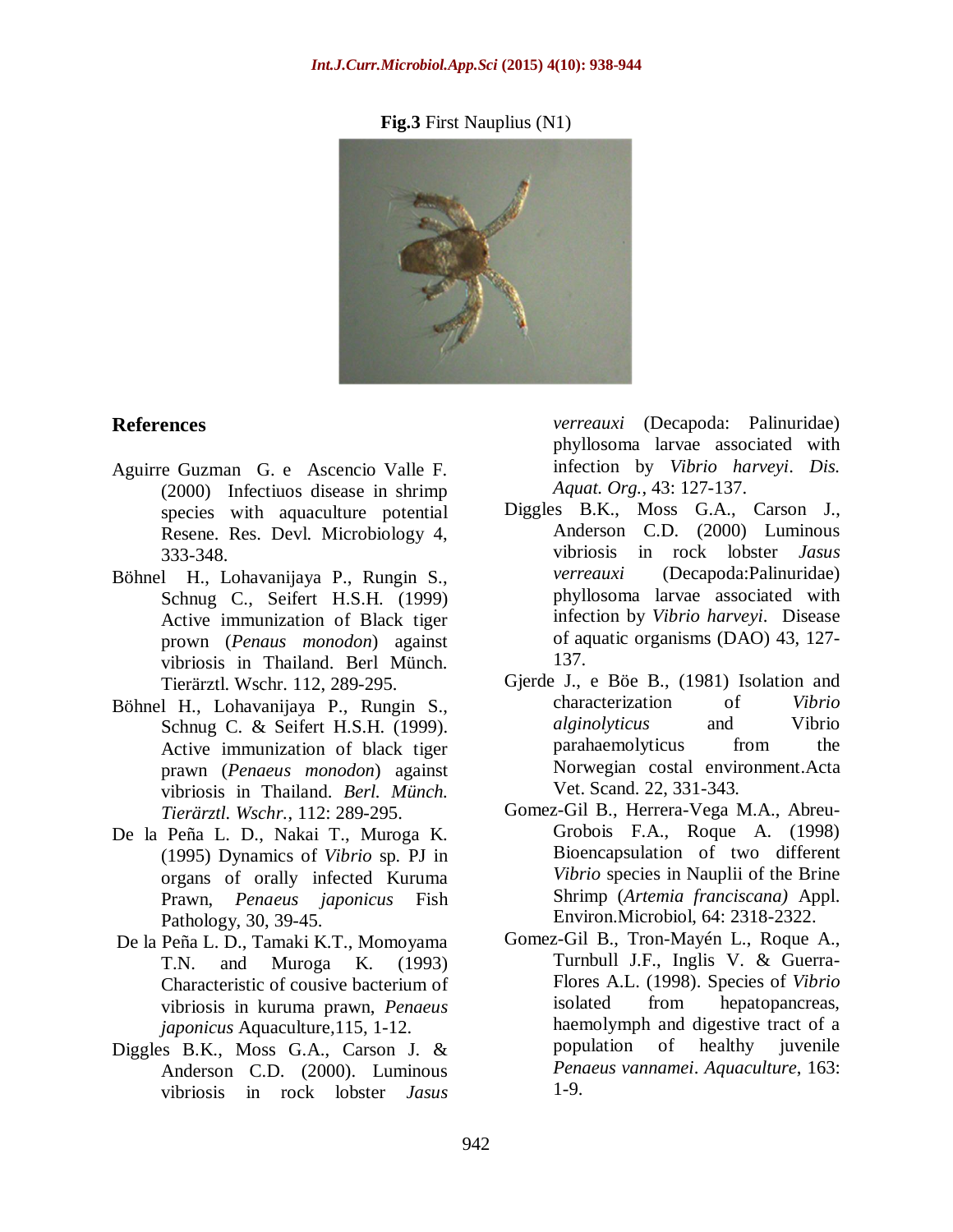#### **Fig.3** First Nauplius (N1)



#### **References**

- Aguirre Guzman G. e Ascencio Valle F. (2000) Infectiuos disease in shrimp species with aquaculture potential Resene. Res. Devl. Microbiology 4, 333-348.
- Böhnel H., Lohavanijaya P., Rungin S., Schnug C., Seifert H.S.H. (1999) Active immunization of Black tiger prown (*Penaus monodon*) against vibriosis in Thailand. Berl Münch. Tierärztl. Wschr. 112, 289-295.
- Böhnel H., Lohavanijaya P., Rungin S., Schnug C. & Seifert H.S.H. (1999). Active immunization of black tiger prawn (*Penaeus monodon*) against vibriosis in Thailand. *Berl. Münch. Tierärztl. Wschr.*, 112: 289-295.
- De la Peña L. D., Nakai T., Muroga K. (1995) Dynamics of *Vibrio* sp*.* PJ in organs of orally infected Kuruma Prawn, *Penaeus japonicus* Fish Pathology, 30, 39-45.
- De la Peña L. D., Tamaki K.T., Momoyama T.N. and Muroga K. (1993) Characteristic of cousive bacterium of vibriosis in kuruma prawn, *Penaeus japonicus* Aquaculture*,*115, 1-12.
- Diggles B.K., Moss G.A., Carson J. & Anderson C.D. (2000). Luminous vibriosis in rock lobster *Jasus*

*verreauxi* (Decapoda: Palinuridae) phyllosoma larvae associated with infection by *Vibrio harveyi*. *Dis. Aquat. Org.*, 43: 127-137.

- Diggles B.K., Moss G.A., Carson J., Anderson C.D. (2000) Luminous vibriosis in rock lobster *Jasus verreauxi* (Decapoda:Palinuridae) phyllosoma larvae associated with infection by *Vibrio harveyi*. Disease of aquatic organisms (DAO) 43, 127- 137.
- Gjerde J., e Böe B., (1981) Isolation and characterization of *Vibrio alginolyticus* and Vibrio parahaemolyticus from the Norwegian costal environment.Acta Vet. Scand. 22, 331-343.
- Gomez-Gil B., Herrera-Vega M.A., Abreu-Grobois F.A., Roque A. (1998) Bioencapsulation of two different *Vibrio* species in Nauplii of the Brine Shrimp (*Artemia franciscana)* Appl. Environ.Microbiol, 64: 2318-2322.
- Gomez-Gil B., Tron-Mayén L., Roque A., Turnbull J.F., Inglis V. & Guerra-Flores A.L. (1998). Species of *Vibrio*  isolated from hepatopancreas, haemolymph and digestive tract of a population of healthy juvenile *Penaeus vannamei*. *Aquaculture*, 163: 1-9.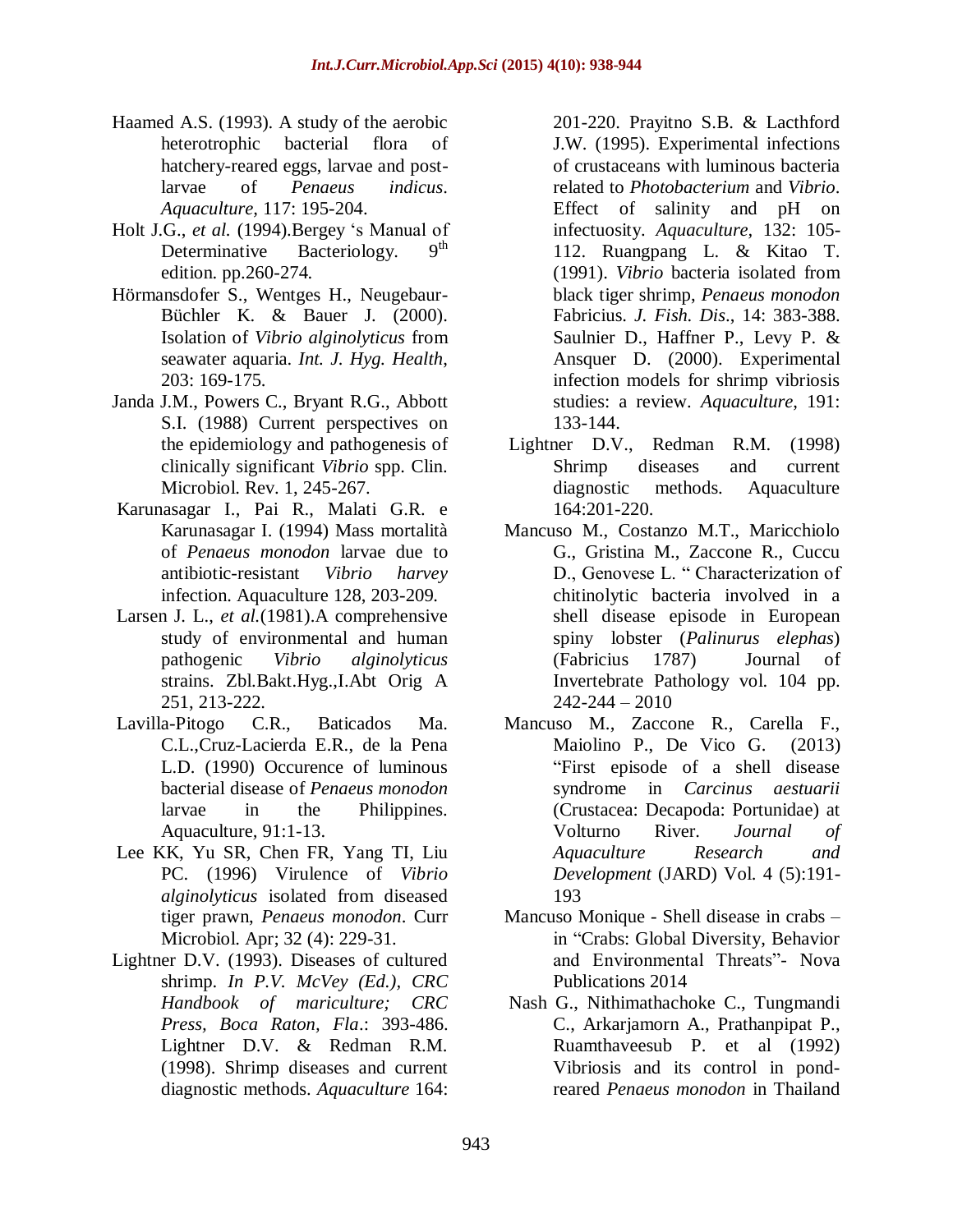- Haamed A.S. (1993). A study of the aerobic heterotrophic bacterial flora of hatchery-reared eggs, larvae and postlarvae of *Penaeus indicus*. *Aquaculture,* 117: 195-204.
- Holt J.G., *et al.* (1994). Bergey 's Manual of<br>Determinative Bacteriology 9<sup>th</sup> Determinative Bacteriology. edition. pp.260-274.
- Hörmansdofer S., Wentges H., Neugebaur-Büchler K. & Bauer J. (2000). Isolation of *Vibrio alginolyticus* from seawater aquaria. *Int. J. Hyg. Health*, 203: 169-175.
- Janda J.M., Powers C., Bryant R.G., Abbott S.I. (1988) Current perspectives on the epidemiology and pathogenesis of clinically significant *Vibrio* spp. Clin. Microbiol. Rev. 1, 245-267.
- Karunasagar I., Pai R., Malati G.R. e Karunasagar I. (1994) Mass mortalità of *Penaeus monodon* larvae due to antibiotic-resistant *Vibrio harvey* infection. Aquaculture 128, 203-209.
- Larsen J. L., *et al.*(1981).A comprehensive study of environmental and human pathogenic *Vibrio alginolyticus* strains. Zbl.Bakt.Hyg.,I.Abt Orig A 251, 213-222.
- Lavilla-Pitogo C.R., Baticados Ma. C.L.,Cruz-Lacierda E.R., de la Pena L.D. (1990) Occurence of luminous bacterial disease of *Penaeus monodon*  larvae in the Philippines. Aquaculture*,* 91:1-13.
- Lee KK, Yu SR, Chen FR, Yang TI, Liu PC. (1996) Virulence of *Vibrio alginolyticus* isolated from diseased tiger prawn, *Penaeus monodon*. Curr Microbiol. Apr; 32 (4): 229-31.
- Lightner D.V. (1993). Diseases of cultured shrimp. *In P.V. McVey (Ed.), CRC Handbook of mariculture; CRC Press, Boca Raton, Fla*.: 393-486. Lightner D.V. & Redman R.M. (1998). Shrimp diseases and current diagnostic methods. *Aquaculture* 164:

201-220. Prayitno S.B. & Lacthford J.W. (1995). Experimental infections of crustaceans with luminous bacteria related to *Photobacterium* and *Vibrio*. Effect of salinity and pH on infectuosity. *Aquaculture,* 132: 105- 112. Ruangpang L. & Kitao T. (1991). *Vibrio* bacteria isolated from black tiger shrimp, *Penaeus monodon*  Fabricius. *J. Fish. Dis*., 14: 383-388. Saulnier D., Haffner P., Levy P. & Ansquer D. (2000). Experimental infection models for shrimp vibriosis studies: a review. *Aquaculture*, 191: 133-144.

- Lightner D.V., Redman R.M. (1998) Shrimp diseases and current diagnostic methods. Aquaculture 164:201-220.
- Mancuso M., Costanzo M.T., Maricchiolo G., Gristina M., Zaccone R., Cuccu D., Genovese L. " Characterization of chitinolytic bacteria involved in a shell disease episode in European spiny lobster (*Palinurus elephas*) (Fabricius 1787) Journal of Invertebrate Pathology vol. 104 pp. 242-244 – 2010
- Mancuso M., Zaccone R., Carella F., Maiolino P., De Vico G. (2013) "First episode of a shell disease syndrome in *Carcinus aestuarii* (Crustacea: Decapoda: Portunidae) at Volturno River. *Journal of Aquaculture Research and Development* (JARD) Vol. 4 (5):191- 193
- Mancuso Monique Shell disease in crabs in "Crabs: Global Diversity, Behavior and Environmental Threats"- Nova Publications 2014
- Nash G., Nithimathachoke C., Tungmandi C., Arkarjamorn A., Prathanpipat P., Ruamthaveesub P. et al (1992) Vibriosis and its control in pondreared *Penaeus monodon* in Thailand